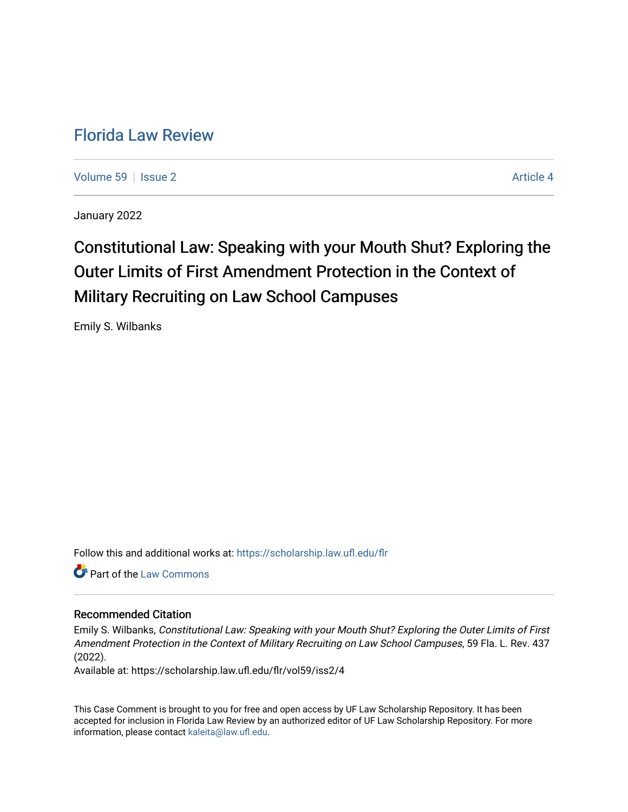## [Florida Law Review](https://scholarship.law.ufl.edu/flr)

[Volume 59](https://scholarship.law.ufl.edu/flr/vol59) | [Issue 2](https://scholarship.law.ufl.edu/flr/vol59/iss2) Article 4

January 2022

# Constitutional Law: Speaking with your Mouth Shut? Exploring the Outer Limits of First Amendment Protection in the Context of Military Recruiting on Law School Campuses

Emily S. Wilbanks

Follow this and additional works at: [https://scholarship.law.ufl.edu/flr](https://scholarship.law.ufl.edu/flr?utm_source=scholarship.law.ufl.edu%2Fflr%2Fvol59%2Fiss2%2F4&utm_medium=PDF&utm_campaign=PDFCoverPages)

**C** Part of the [Law Commons](http://network.bepress.com/hgg/discipline/578?utm_source=scholarship.law.ufl.edu%2Fflr%2Fvol59%2Fiss2%2F4&utm_medium=PDF&utm_campaign=PDFCoverPages)

### Recommended Citation

Emily S. Wilbanks, Constitutional Law: Speaking with your Mouth Shut? Exploring the Outer Limits of First Amendment Protection in the Context of Military Recruiting on Law School Campuses, 59 Fla. L. Rev. 437 (2022).

Available at: https://scholarship.law.ufl.edu/flr/vol59/iss2/4

This Case Comment is brought to you for free and open access by UF Law Scholarship Repository. It has been accepted for inclusion in Florida Law Review by an authorized editor of UF Law Scholarship Repository. For more information, please contact [kaleita@law.ufl.edu.](mailto:kaleita@law.ufl.edu)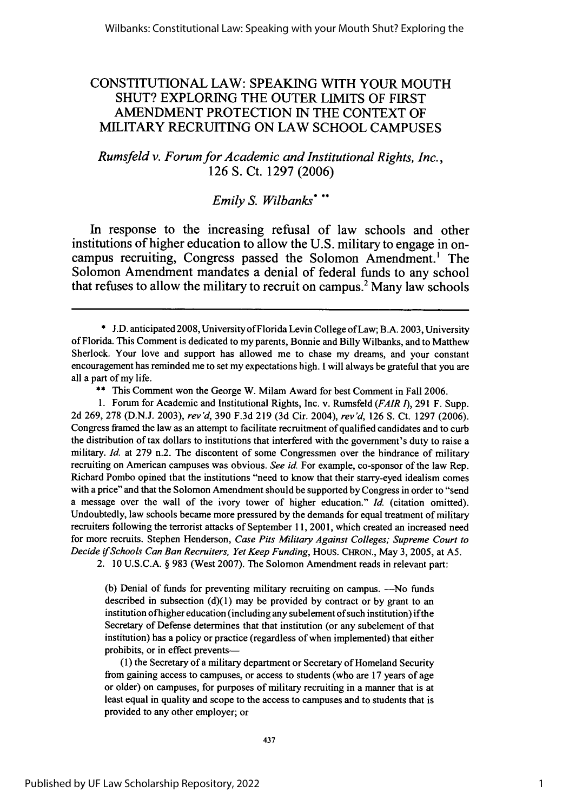## **CONSTITUTIONAL** LAW: SPEAKING WITH YOUR **MOUTH SHUT?** EXPLORING THE OUTER LIMITS OF FIRST **AMENDMENT** PROTECTION **IN** THE **CONTEXT** OF MILITARY **RECRUITING ON** LAW **SCHOOL CAMPUSES**

## *Rumsfeld v. Forum for Academic and Institutional Rights, Inc.,* **126 S.** Ct. **1297 (2006)**

*Emily S. Wilbanks\* ""*

In response to the increasing refusal of law schools and other institutions of higher education to allow the **U.S.** military to engage in oncampus recruiting, Congress passed the Solomon Amendment.' The Solomon Amendment mandates a denial of federal funds to any school that refuses to allow the military to recruit on campus.<sup>2</sup> Many law schools

\*\* This Comment won the George W. Milam Award for best Comment in Fall 2006.

1. Forum for Academic and Institutional Rights, Inc. v. Rumsfeld *(FAIR 1),* 291 F. Supp. 2d 269, 278 (D.N.J. 2003), *rev'd,* 390 F.3d 219 (3d Cir. 2004), *rev'd,* 126 S. Ct. 1297 (2006). Congress framed the law as an attempt to facilitate recruitment of qualified candidates and to curb the distribution of tax dollars to institutions that interfered with the government's duty to raise a military. *Id.* at 279 n.2. The discontent of some Congressmen over the hindrance of military recruiting on American campuses was obvious. *See id.* For example, co-sponsor of the law Rep. Richard Pombo opined that the institutions "need to know that their starry-eyed idealism comes with a price" and that the Solomon Amendment should be supported by Congress in order to "send a message over the wall of the ivory tower of higher education." *Id.* (citation omitted). Undoubtedly, law schools became more pressured by the demands for equal treatment of military recruiters following the terrorist attacks of September 11, 2001, which created an increased need for more recruits. Stephen Henderson, *Case Pits Military Against Colleges; Supreme Court to Decide if Schools Can Ban Recruiters, Yet Keep Funding,* Hous. CHRON., May 3, 2005, at A5.

2. 10 U.S.C.A. § 983 (West 2007). The Solomon Amendment reads in relevant part:

(b) Denial of funds for preventing military recruiting on campus. - No funds described in subsection  $(d)(1)$  may be provided by contract or by grant to an institution of higher education (including any subelement of such institution) if the Secretary of Defense determines that that institution (or any subelement of that institution) has a policy or practice (regardless of when implemented) that either prohibits, or in effect prevents-

**(1)** the Secretary of a military department or Secretary of Homeland Security from gaining access to campuses, or access to students (who are 17 years of age or older) on campuses, for purposes of military recruiting in a manner that is at least equal in quality and scope to the access to campuses and to students that is provided to any other employer; or

<sup>\*</sup> J.D. anticipated 2008, University ofFlorida Levin College of Law; B.A. 2003, University of Florida. This Comment is dedicated to my parents, Bonnie and Billy Wilbanks, and to Matthew Sherlock. Your love and support has allowed me to chase my dreams, and your constant encouragement has reminded me to set my expectations high. I will always be grateful that you are all a part of my life.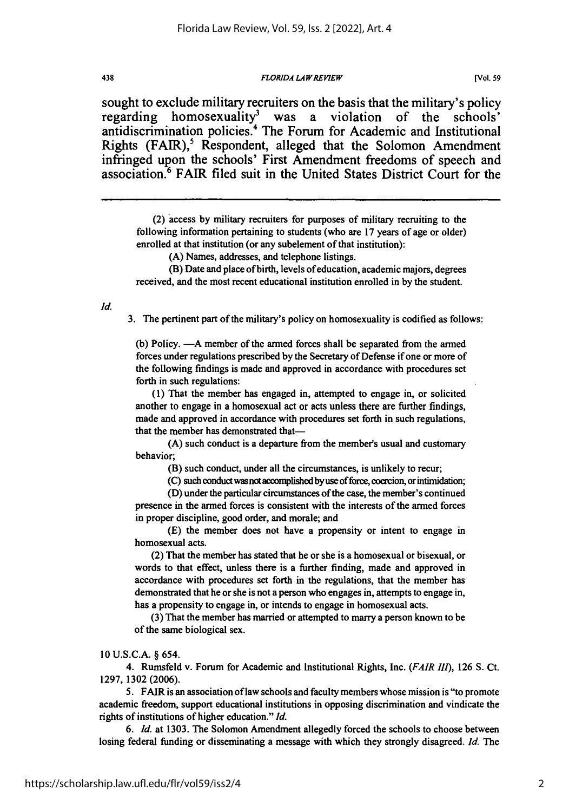*FLORIDA LAW REVIEW*

**[Vol. 59**

sought to exclude military recruiters on the basis that the military's policy regarding homosexuality' was a violation of the schools' antidiscrimination policies.' The Forum for Academic and Institutional Rights (FAIR),<sup>5</sup> Respondent, alleged that the Solomon Amendment infringed upon the schools' First Amendment freedoms of speech and association.<sup>6</sup> FAIR filed suit in the United States District Court for the

(2) 'access **by** military recruiters for purposes of military recruiting to the following information pertaining to students (who are **17** years of age or older) enrolled at that institution (or any subelement of that institution):

**(A)** Names, addresses, and telephone listings.

(B) Date and place of birth, levels of education, academic majors, degrees received, and the most recent educational institution enrolled in **by** the student.

Id.

**3.** The pertinent part of the military's policy on homosexuality is codified as follows:

**(b)** Policy. **-A** member of the armed forces shall be separated from the armed forces under regulations prescribed **by** the Secretary of Defense if one or more of the following findings is made and approved in accordance with procedures set forth in such regulations:

**(1)** That the member has engaged in, attempted to engage in, or solicited another to engage in a homosexual act or acts unless there are further findings, made and approved in accordance with procedures set forth in such regulations, that the member has demonstrated that-

**(A)** such conduct is a departure from the member's usual and customary behavior;

(B) such conduct, under all the circumstances, is unlikely to recur;

**(C)** such conduct was not accomplished byuse offorce, coercion, or intimidation;

**(D)** under the particular circumstances of the case, the member's continued presence in the armed forces is consistent with the interests of the armed forces in proper discipline, good order, and morale; and

**(E)** the member does not have a propensity or intent to engage in homosexual acts.

(2) That the member has stated that he or she is a homosexual or bisexual, or words to that effect, unless there is a further finding, made and approved in accordance with procedures set forth in the regulations, that the member has demonstrated that he or she is not a person who engages in, attempts to engage in, has a propensity to engage in, or intends to engage in homosexual acts.

**(3)** That the member has married or attempted to marry a person known to be of the same biological sex.

**10 U.S.C.A.** § 654.

4. Rumsfeld v. Forum for Academic and Institutional Rights, Inc. *(FAIR II1),* **126 S.** Ct. **1297, 1302 (2006).**

**5.** FAIR is an association of law schools and faculty members whose mission is "to promote academic freedom, support educational institutions in opposing discrimination and vindicate the rights of institutions of higher education." *Id.*

*6. Id.* at **1303.** The Solomon Amendment allegedly forced the schools to choose between losing federal funding or disseminating a message with which they strongly disagreed. *Id.* The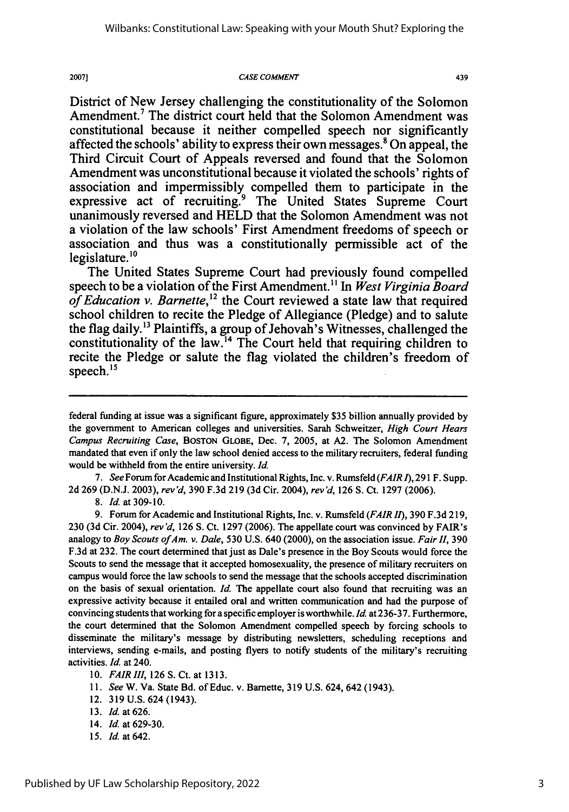#### **CASE COMMENT**

439

District of New Jersey challenging the constitutionality of the Solomon Amendment.<sup>7</sup> The district court held that the Solomon Amendment was constitutional because it neither compelled speech nor significantly affected the schools' ability to express their own messages.' On appeal, the Third Circuit Court of Appeals reversed and found that the Solomon Amendment was unconstitutional because it violated the schools' rights of association and impermissibly compelled them to participate in the expressive act of recruiting.9 The United States Supreme Court unanimously reversed and **HELD** that the Solomon Amendment was not a violation of the law schools' First Amendment freedoms of speech or association and thus was a constitutionally permissible act of the legislature.<sup>10</sup>

The United States Supreme Court had previously found compelled speech to be a violation of the First Amendment." In *West Virginia Board* of Education v. Barnette,<sup>12</sup> the Court reviewed a state law that required school children to recite the Pledge of Allegiance (Pledge) and to salute the flag daily.<sup>13</sup> Plaintiffs, a group of Jehovah's Witnesses, challenged the constitutionality of the law.<sup>14</sup> The Court held that requiring children to recite the Pledge or salute the flag violated the children's freedom of speech.<sup>15</sup>

*7. See* Forum for Academic and Institutional Rights, Inc. v. Rumsfeld *(FAIR 1),* **291** F. Supp. 2d 269 (D.N.J. 2003), *rev'd,* 390 F.3d 219 (3d Cir. 2004), *rev'd,* 126 **S.** Ct. 1297 (2006).

**8.** *Id.* at **309-10.**

20071

9. Forum for Academic and Institutional Rights, Inc. v. Rumsfeld *(FAIR II),* 390 F.3d 219, **230 (3d** Cir. 2004), *rev 'd,* 126 **S.** Ct. 1297 (2006). The appellate court was convinced **by** FAIR's analogy to *Boy Scouts ofAm. v. Dale,* 530 U.S. 640 (2000), on the association issue. *Fair I,* 390 F.3d at 232. The court determined that just as Dale's presence in the Boy Scouts would force the Scouts to send the message that it accepted homosexuality, the presence of military recruiters on campus would force the law schools to send the message that the schools accepted discrimination on the basis of sexual orientation. *Id.* The appellate court also found that recruiting was an expressive activity because it entailed oral and written communication and had the purpose of convincing students that working for a specific employer is worthwhile. *Id.* at 236-37. Furthermore, the court determined that the Solomon Amendment compelled speech **by** forcing schools to disseminate the military's message **by** distributing newsletters, scheduling receptions and interviews, sending e-mails, and posting flyers to notify students of the military's recruiting activities. *Id.* at 240.

- **10.** *FAIR III,* 126 **S.** Ct. at **1313.**
- **11.** *See* W. Va. State **Bd.** of Educ. v. Barnette, **319** U.S. 624, 642 (1943).
- 12. **319** U.S. 624 (1943).
- **13.** *Id.* at626.
- 14. *Id.* at 629-30.
- 15. *Id.* at 642.

federal funding at issue was a significant figure, approximately \$35 billion annually provided **by** the government to American colleges and universities. Sarah Schweitzer, *High Court Hears Campus Recruiting Case,* BOSTON GLOBE, Dec. **7,** 2005, at A2. The Solomon Amendment mandated that even if only the law school denied access to the military recruiters, federal funding would be withheld from the entire university. *Id.*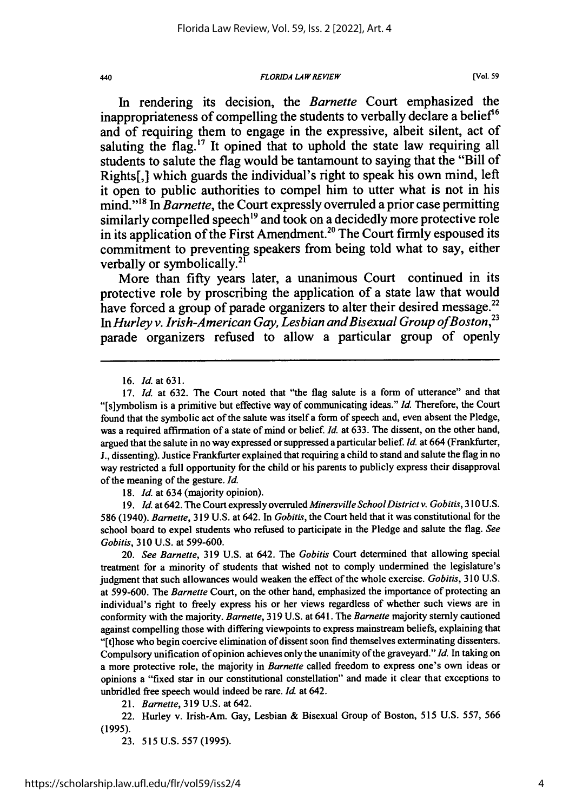#### **FLORIDA LAWREVIEW**

In rendering its decision, the *Barnette* Court emphasized the inappropriateness of compelling the students to verbally declare a belief<sup>16</sup> and of requiring them to engage in the expressive, albeit silent, act of saluting the flag.<sup>17</sup> It opined that to uphold the state law requiring all students to salute the flag would be tantamount to saying that the "Bill of Rights[,] which guards the individual's right to speak his own mind, left it open to public authorities to compel him to utter what is not in his mind."<sup>18</sup> In *Barnette*, the Court expressly overruled a prior case permitting similarly compelled speech<sup>19</sup> and took on a decidedly more protective role in its application of the First Amendment.<sup>20</sup> The Court firmly espoused its commitment to preventing speakers from being told what to say, either verbally or symbolically.<sup>21</sup>

More than fifty years later, a unanimous Court continued in its protective role **by** proscribing the application of a state law that would have forced a group of parade organizers to alter their desired message.<sup>22</sup> *In Hurley v. Irish-American Gay, Lesbian and Bisexual Group ofBoston,23* parade organizers refused to allow a particular group of openly

*18.* **Id.** at 634 (majority opinion).

**19. Id.** at 642. The Court *expressly* overruled *Minersville School District v. Gobitis, 310* **U.S. 586** (1940). *Barnette,* **319 U.S.** at 642. In *Gobitis,* the Court held that it was constitutional for the school board to expel students who refused to participate in the Pledge and salute the flag. *See Gobitis,* **310 U.S.** at **599-600.**

20. *See Barnette,* **319 U.S.** at 642. The *Gobitis* Court determined that allowing special treatment for a minority of students that wished not to comply undermined the legislature's judgment that such allowances would weaken the effect of the whole exercise. *Gobitis,* **310 U.S.** at **599-600.** The *Barnette* Court, on the other hand, emphasized the importance of protecting an individual's right to freely express his or her views regardless of whether such views are in conformity with the majority. *Barnette,* **319 U.S.** at 641. The *Barnette* majority sternly cautioned against compelling those with differing viewpoints to express mainstream beliefs, explaining that "[t]hose who begin coercive elimination of dissent soon find themselves exterminating dissenters. Compulsory unification of opinion achieves only the unanimity of the graveyard." **Id.** In taking on a more protective role, the majority in *Barnette* called freedom to express one's own ideas or opinions a "fixed star in our constitutional constellation" and made it clear that exceptions to unbridled free speech would indeed be rare. *Id.* at 642.

21. *Barnette,* **319** U.S. at 642.

22. Hurley v. Irish-Am. Gay, Lesbian & Bisexual Group of Boston, 515 U.S. 557, 566 (1995).

23. 515 **U.S.** 557 (1995).

**<sup>16.</sup> Id.** at **631.**

**<sup>17.</sup> Id.** at **632.** The Court noted that "the flag salute is a form of utterance" and that "[s]ymbolism is a primitive but effective way of communicating ideas." **Id.** Therefore, the Court found that the symbolic act of the salute was itself a form of speech and, even absent the Pledge, was a required affirmation of a state of mind or belief. **Id.** at **633.** The dissent, on the other hand, argued that the salute in no way expressed or suppressed a particular belief. *Id.* at 664 (Frankfurter, **J.,** dissenting). Justice Frankfurter explained that requiring a child to stand and salute the flag in no way restricted a full opportunity for the child or his parents to publicly express their disapproval of the meaning of the gesture. *Id.*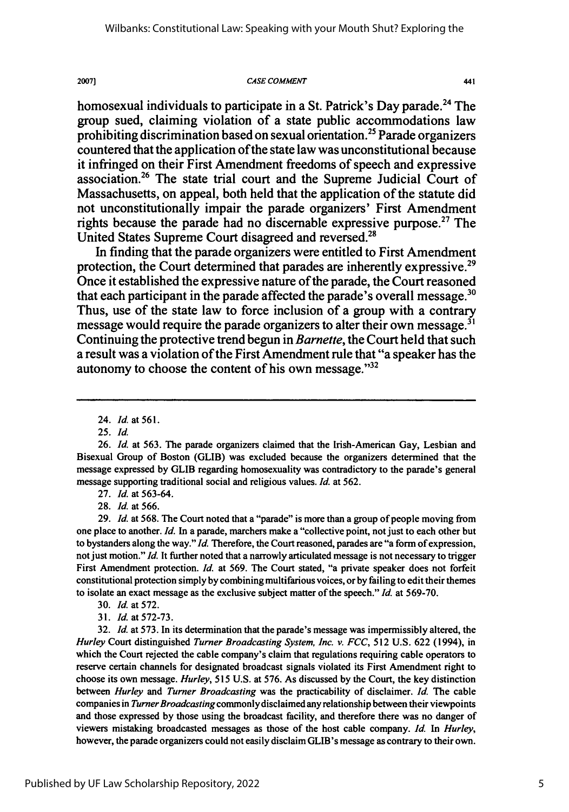CASE **COMMENT**

441

homosexual individuals to participate in a St. Patrick's Day parade.<sup>24</sup> The group sued, claiming violation of a state public accommodations law prohibiting discrimination based on sexual orientation.<sup>25</sup> Parade organizers countered that the application of the state law was unconstitutional because it infringed on their First Amendment freedoms of speech and expressive association.26 The state trial court and the Supreme Judicial Court of Massachusetts, on appeal, both held that the application of the statute did not unconstitutionally impair the parade organizers' First Amendment rights because the parade had no discernable expressive purpose.<sup>27</sup> The United States Supreme Court disagreed and reversed.<sup>2</sup>

In finding that the parade organizers were entitled to First Amendment protection, the Court determined that parades are inherently expressive.<sup>29</sup> Once it established the expressive nature of the parade, the Court reasoned that each participant in the parade affected the parade's overall message.<sup>36</sup> Thus, use of the state law to force inclusion of a group with a contrary message would require the parade organizers to alter their own message.<sup> $31$ </sup> Continuing the protective trend begun in Barnette, the Court held that such a result was a violation of the First Amendment rule that "a speaker has the autonomy to choose the content of his own message." $32$ 

25. *Id.*

2007]

26. Id. at 563. The parade organizers claimed that the Irish-American Gay, Lesbian and Bisexual Group of Boston (GLIB) was excluded because the organizers determined that the message expressed by GLIB regarding homosexuality was contradictory to the parade's general message supporting traditional social and religious values. Id. at 562.

27. Id. at 563-64.

28. **Id.** at 566.

29. Id. at 568. The Court noted that a "parade" is more than a group of people moving from one place to another. Id. In a parade, marchers make a "collective point, not just to each other but to bystanders along the way." Id. Therefore, the Court reasoned, parades are "a form of expression, not just motion." Id. It further noted that a narrowly articulated message is not necessary to trigger First Amendment protection. Id. at 569. The Court stated, "a private speaker does not forfeit constitutional protection simply by combining multifarious voices, or by failing to edit their themes to isolate an exact message as the exclusive subject matter of the speech." Id. at 569-70.

- 30. Id. at 572.
- *31. Id,* at 572-73.

32. Id. at 573. In its determination that the parade's message was impermissibly altered, the *Hurley* Court distinguished *Turner Broadcasting System, Inc. v. FCC,* 512 U.S. 622 (1994), in which the Court rejected the cable company's claim that regulations requiring cable operators to reserve certain channels for designated broadcast signals violated its First Amendment right to choose its own message. *Hurley,* 515 U.S. at 576. As discussed by the Court, the key distinction between *Hurley and Turner Broadcasting* was the practicability of disclaimer. *Id* The cable companies in *Turner Broadcasting* commonly disclaimed any relationship between their viewpoints and those expressed by those using the broadcast facility, and therefore there was no danger of viewers mistaking broadcasted messages as those of the host cable company. *Id In Hurley,* however, the parade organizers could not easily disclaim GLIB's message as contrary to their own.

<sup>24.</sup> *Id.* at 561.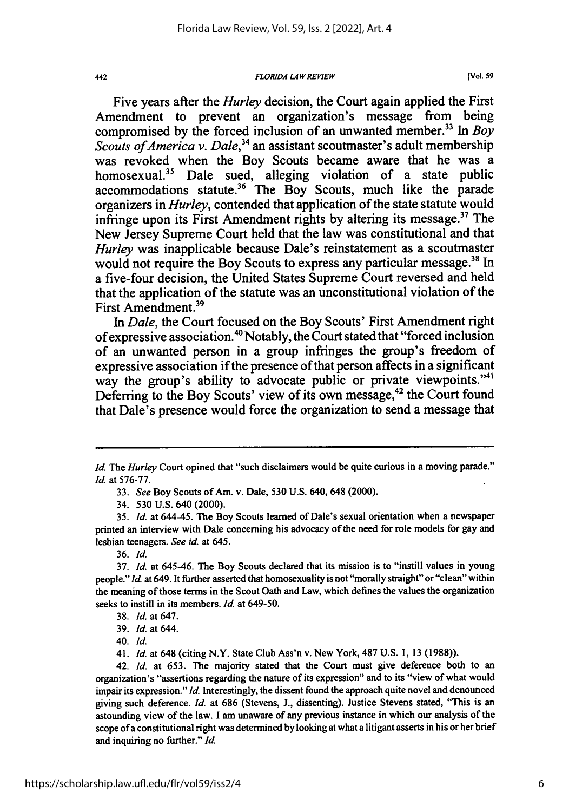#### 442 *FLORIDA LAW REVIEW* **[Vol. 59**

Five years after the *Hurley* decision, the Court again applied the First Amendment to prevent an organization's message from being compromised **by** the forced inclusion of an unwanted member.33 In *Boy Scouts ofAmerica v. Dale,34* an assistant scoutmaster's adult membership was revoked when the Boy Scouts became aware that he was a homosexual.<sup>35</sup> Dale sued, alleging violation of a state public accommodations statute.36 The Boy Scouts, much like the parade organizers in *Hurley,* contended that application of the state statute would infringe upon its First Amendment rights **by** altering its message.37 The New Jersey Supreme Court held that the law was constitutional and that *Hurley* was inapplicable because Dale's reinstatement as a scoutmaster would not require the Boy Scouts to express any particular message.<sup>38</sup> In a five-four decision, the United States Supreme Court reversed and held that the application of the statute was an unconstitutional violation of the First Amendment.<sup>39</sup>

*In Dale,* the Court focused on the Boy Scouts' First Amendment right of expressive association.40 Notably, the Court stated that "forced inclusion of an unwanted person in a group infringes the group's freedom of expressive association if the presence of that person affects in a significant way the group's ability to advocate public or private viewpoints."<sup>41</sup> Deferring to the Boy Scouts' view of its own message,<sup>42</sup> the Court found that Dale's presence would force the organization to send a message that

**33.** *See* Boy Scouts of Am. v. Dale, **530** U.S. 640, 648 (2000).

34. 530 U.S. 640 (2000).

35. Id. at 644-45. The Boy Scouts learned of Dale's sexual orientation when a newspaper printed an interview with Dale concerning his advocacy of the need for role models for gay and lesbian teenagers. *See* id. at 645.

36. Id.

37. Id. at 645-46. The Boy Scouts declared that its mission is to "instill values in young people." Id. at 649. It further asserted that homosexuality is not "morally straight" or "clean" within the meaning of those terms in the Scout Oath and Law, which defines the values the organization seeks to instill in its members. Id. at 649-50.

39. *Id.* at 644.

40. Id.

41. Id. at 648 (citing N.Y. State Club Ass'n v. New York, 487 U.S. 1, 13 (1988)).

42. Id. at 653. The majority stated that the Court must give deference both to an organization's "assertions regarding the nature of its expression" and to its "view of what would impair its expression." Id. Interestingly, the dissent found the approach quite novel and denounced giving such deference. **Id.** at 686 (Stevens, J., dissenting). Justice Stevens stated, "This is an astounding view of the law. I am unaware of any previous instance in which our analysis of the scope of a constitutional right was determined by looking at what a litigant asserts in his or her brief and inquiring no further." *Id.*

*Id. The Hurley* Court opined that "such disclaimers would be quite curious in a moving parade." **Id.** at 576-77.

<sup>38.</sup> Id. at 647.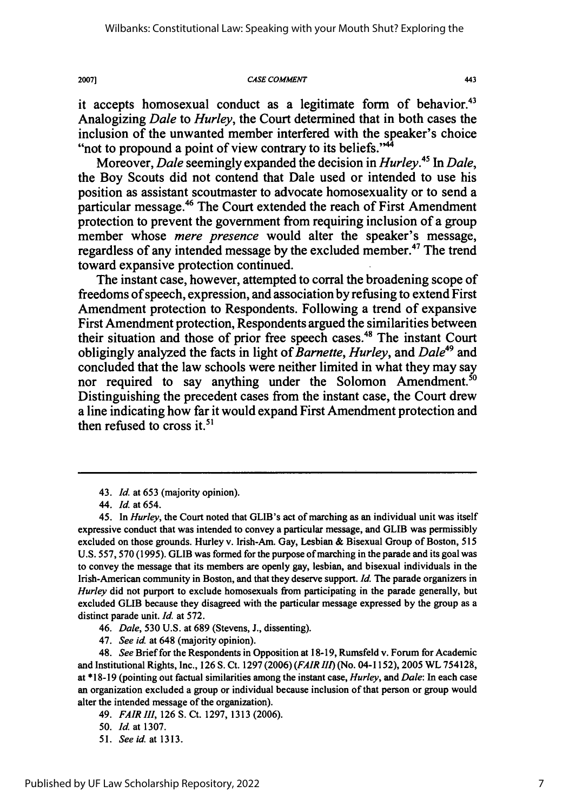#### **CASE** COMMENT

it accepts homosexual conduct as a legitimate form of behavior.<sup>4</sup> Analogizing *Dale* to *Hurley,* the Court determined that in both cases the inclusion of the unwanted member interfered with the speaker's choice "not to propound a point of view contrary to its beliefs."<sup>44</sup>

Moreover, *Dale* seemingly expanded the decision in *Hurley*.<sup>45</sup> In *Dale*, the Boy Scouts did not contend that Dale used or intended to use his position as assistant scoutmaster to advocate homosexuality or to send a particular message.<sup>46</sup> The Court extended the reach of First Amendment protection to prevent the government from requiring inclusion of a group member whose *mere presence* would alter the speaker's message, regardless of any intended message by the excluded member.<sup>47</sup> The trend toward expansive protection continued.

The instant case, however, attempted to corral the broadening scope of freedoms of speech, expression, and association by refusing to extend First Amendment protection to Respondents. Following a trend of expansive First Amendment protection, Respondents argued the similarities between their situation and those of prior free speech cases.<sup>48</sup> The instant Court obligingly analyzed the facts in light of *Barnette, Hurley,* and *Dale49* and concluded that the law schools were neither limited in what they may say nor required to say anything under the Solomon Amendment.<sup>50</sup> Distinguishing the precedent cases from the instant case, the Court drew a line indicating how far it would expand First Amendment protection and then refused to cross it. $51$ 

47. *See id.* at 648 (majority opinion).

- 49. *FAIR III,* 126 S. Ct. 1297, 1313 (2006).
- 50. Id. at 1307.
- 51. *See* id. at 1313.

<sup>43.</sup> Id. at 653 (majority opinion).

<sup>44.</sup> Id. at 654.

<sup>45.</sup> In *Hurley,* the Court noted that GLIB's act of marching as an individual unit was itself expressive conduct that was intended to convey a particular message, and GLIB was permissibly excluded on those grounds. Hurley v. Irish-Am. Gay, Lesbian & Bisexual Group of Boston, **515 U.S. 557, 570 (1995).** GLIB was formed for the purpose of marching in the parade and its goal was to convey the message that its members are openly gay, lesbian, and bisexual individuals in the Irish-American community in Boston, and that they deserve support. **Id.** The parade organizers in *Hurley* did not purport to exclude homosexuals from participating in the parade generally, but excluded GLIB because they disagreed with the particular message expressed **by** the group as a distinct parade unit. Id. at **572.**

<sup>46.</sup> *Dale,* **530 U.S.** at **689** (Stevens, **J.,** dissenting).

<sup>48.</sup> *See* Brief for the Respondents in Opposition at **18-19,** Rumsfeld v. Forum for Academic and Institutional Rights, Inc., **126 S.** Ct. 1297 **(2006)** *(FAIR III)* (No. 04-1152), 2005 WL 754128, at \* 18-19 (pointing out factual similarities among the instant case, *Hurley, and Dale:* In each case an organization excluded a group or individual because inclusion of that person or group would alter the intended message of the organization).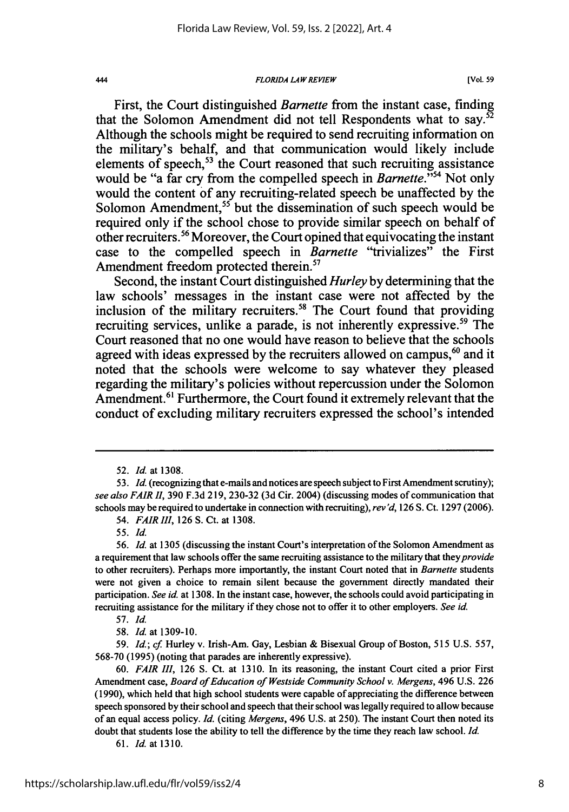#### **FLORIDA LAW** REVIEW

First, the Court distinguished *Barnette* from the instant case, finding that the Solomon Amendment did not tell Respondents what to say. $52$ Although the schools might be required to send recruiting information on the military's behalf, and that communication would likely include elements of speech,<sup>53</sup> the Court reasoned that such recruiting assistance would be "a far cry from the compelled speech in *Barnette."54* Not only would the content **of** any recruiting-related speech be unaffected **by** the Solomon Amendment,<sup> $55$ </sup> but the dissemination of such speech would be required only if the school chose to provide similar speech on behalf of other recruiters. 6 Moreover, the Court opined that equivocating the instant case to the compelled speech in *Barnette* "trivializes" the First Amendment freedom protected therein.<sup>57</sup>

Second, the instant Court distinguished *Hurley* **by** determining that the law schools' messages in the instant case were not affected **by** the inclusion of the military recruiters.<sup>58</sup> The Court found that providing recruiting services, unlike a parade, is not inherently expressive.<sup>59</sup> The Court reasoned that no one would have reason to believe that the schools agreed with ideas expressed by the recruiters allowed on campus,<sup>60</sup> and it noted that the schools were welcome to say whatever they pleased regarding the military's policies without repercussion under the Solomon Amendment.<sup>61</sup> Furthermore, the Court found it extremely relevant that the conduct of excluding military recruiters expressed the school's intended

54. *FAIR* 11, 126 S. Ct. at 1308.

*55.* Id.

56. *Id,* at 1305 (discussing the instant Court's interpretation of the Solomon Amendment as a requirement that law schools offer the same recruiting assistance to the military that *they provide* to other recruiters). Perhaps more importantly, the instant Court noted that in *Barnette* students were not given a choice to remain silent because the government directly mandated their participation. *See* id. at 1308. In the instant case, however, the schools could avoid participating in recruiting assistance for the military if they chose not to offer it to other employers. *See* id.

**57. Id.**

58. Id. at 1309-10.

59. *Id.;* cf. Hurley v. Irish-Am. Gay, Lesbian & Bisexual Group of Boston, 515 U.S. 557, 568-70 (1995) (noting that parades are inherently expressive).

60. *FAIR III,* 126 **S.** Ct. at 1310. In its reasoning, the instant Court cited a prior First Amendment case, *Board of Education of Westside Community School v. Mergens,* 496 U.S. 226 (1990), which held that high school students were capable of appreciating the difference between speech sponsored by their school and speech that their school was legally required to allow because of an equal access policy. Id. (citing *Mergens,* 496 U.S. at 250). The instant Court then noted its doubt that students lose the ability to tell the difference **by** the time they reach law school. Id.

61. Id. at 1310.

<sup>52.</sup> Id. at 1308.

<sup>53.</sup> **Id.** (recognizing that e-mails and notices are speech subject to First Amendment scrutiny); *see also FAIR II,* 390 F.3d 219, 230-32 (3d Cir. 2004) (discussing modes of communication that schools may be required to undertake in connection with recruiting), *rev'd,* 126 S. Ct. 1297 (2006).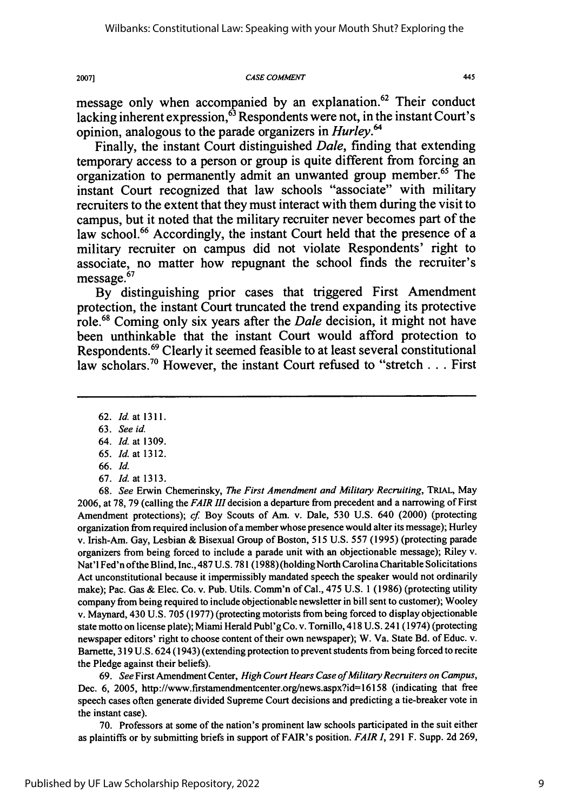*CASE COMMENT*

445

message only when accompanied by an explanation.<sup>62</sup> Their conduct lacking inherent expression, $63$  Respondents were not, in the instant Court's opinion, analogous to the parade organizers in *Hurley.'*

Finally, the instant Court distinguished *Dale,* finding that extending temporary access to a person or group is quite different from forcing an organization to permanently admit an unwanted group member.<sup>65</sup> The instant Court recognized that law schools "associate" with military recruiters to the extent that they must interact with them during the visit to campus, but it noted that the military recruiter never becomes part of the law school.<sup>66</sup> Accordingly, the instant Court held that the presence of a military recruiter on campus did not violate Respondents' right to associate, no matter how repugnant the school finds the recruiter's message.<sup>67</sup>

**By** distinguishing prior cases that triggered First Amendment protection, the instant Court truncated the trend expanding its protective role.68 Coming only six years after the *Dale* decision, it might not have been unthinkable that the instant Court would afford protection to Respondents.69 Clearly it seemed feasible to at least several constitutional law scholars.<sup>70</sup> However, the instant Court refused to "stretch . . . First

20071

66. *Id.*

68. *See* Erwin Chemerinsky, *The First Amendment and Military Recruiting,* TRIAL, May 2006, at 78, 79 (calling the *FAIR III* decision a departure from precedent and a narrowing of First Amendment protections); *cf.* Boy Scouts of Am. v. Dale, 530 U.S. 640 (2000) (protecting organization from required inclusion of a member whose presence would alter its message); Hurley v. Irish-Am. Gay, Lesbian & Bisexual Group of Boston, 515 U.S. 557 (1995) (protecting parade organizers from being forced to include a parade unit with an objectionable message); Riley v. Nat'l Fed'n ofthe Blind, Inc., 487 U.S. 781 (1988) (holding North Carolina Charitable Solicitations Act unconstitutional because it impermissibly mandated speech the speaker would not ordinarily make); Pac. Gas & Elec. Co. v. Pub. Utils. Comm'n of Cal., 475 U.S. 1 (1986) (protecting utility company from being required to include objectionable newsletter in bill sent to customer); Wooley v. Maynard, 430 U.S. 705 (1977) (protecting motorists from being forced to display objectionable state motto on license plate); Miami Herald Publ'g Co. v. Tornillo, 418 U.S. 241 (1974) (protecting newspaper editors' right to choose content of their own newspaper); W. Va. State Bd. of Educ. v. Barnette, 319 U.S. 624 (1943) (extending protection to prevent students from being forced to recite the Pledge against their beliefs).

69. *See* First Amendment Center, *High Court Hears Case of Military Recruiters on Campus,* Dec. 6, 2005, http://www.firstamendmentcenter.org/news.aspx?id=16158 (indicating that free speech cases often generate divided Supreme Court decisions and predicting a tie-breaker vote in the instant case).

70. Professors at some of the nation's prominent law schools participated in the suit either as plaintiffs or by submitting briefs in support of FAIR's position. *FAIR I,* 291 F. Supp. 2d 269,

<sup>62.</sup> Id. at 1311.

<sup>63.</sup> *See* id.

<sup>64.</sup> *Id.* at 1309.

<sup>65.</sup> *Id.* at 1312.

<sup>67.</sup> *Id.* at 1313.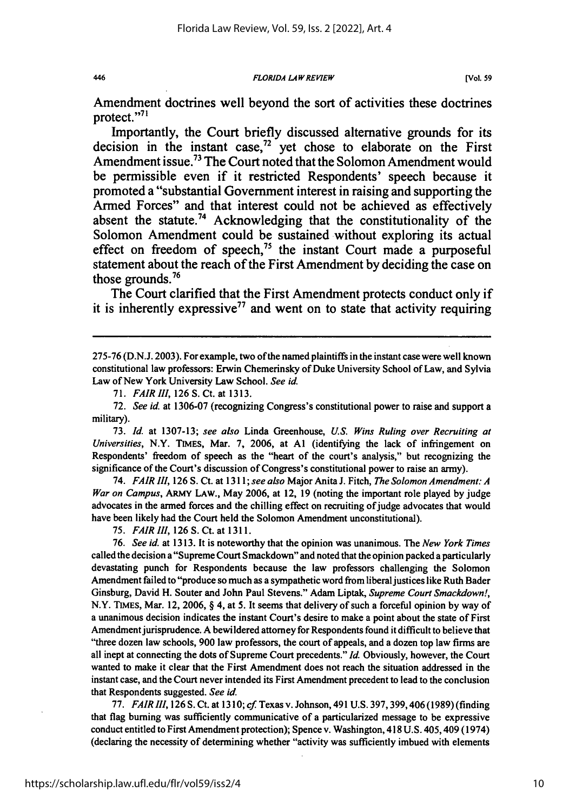#### *FLORIDA LAW REVIEW*

**[Vol. 59**

Amendment doctrines well beyond the sort of activities these doctrines protect."71

Importantly, the Court briefly discussed alternative grounds for its decision in the instant case,<sup>72</sup> yet chose to elaborate on the First Amendment issue.<sup>73</sup> The Court noted that the Solomon Amendment would be permissible even if it restricted Respondents' speech because it promoted a "substantial Government interest in raising and supporting the Armed Forces" and that interest could not be achieved as effectively absent the statute.<sup>74</sup> Acknowledging that the constitutionality of the Solomon Amendment could be sustained without exploring its actual effect on freedom of speech,<sup>75</sup> the instant Court made a purposeful statement about the reach of the First Amendment **by** deciding the case on those grounds.76

The Court clarified that the First Amendment protects conduct only if it is inherently expressive<sup> $77$ </sup> and went on to state that activity requiring

73. Id. at 1307-13; see also Linda Greenhouse, U.S. Wins Ruling over Recruiting at Universities, N.Y. TIMES, Mar. 7, 2006, at **Al** (identifying the lack of infringement on Respondents' freedom of speech as the "heart of the court's analysis," but recognizing the significance of the Court's discussion of Congress's constitutional power to raise an army).

74. FAIR III, 126 **S.** Ct. at 1311; see also Major Anita J. Fitch, The Solomon Amendment: A War on Campus, ARMY LAW., May 2006, at 12, 19 (noting the important role played by judge advocates in the armed forces and the chilling effect on recruiting of judge advocates that would have been likely had the Court held the Solomon Amendment unconstitutional).

75. FAIR II1, 126 **S.** Ct. at 1311.

76. *See* id. at 1313. It is noteworthy that the opinion was unanimous. The *New York Times* called the decision a "Supreme Court Smackdown" and noted that the opinion packed a particularly devastating punch for Respondents because the law professors challenging the Solomon Amendment failed to "produce so much as a sympathetic word from liberal justices like Ruth Bader Ginsburg, David H. Souter and John Paul Stevens." Adam Liptak, Supreme Court Smackdown!, N.Y. TIMEs, Mar. 12, 2006, § 4, at 5. It seems that delivery of such a forceful opinion by way of a unanimous decision indicates the instant Court's desire to make a point about the state of First Amendment jurisprudence. A bewildered attorney for Respondents found it difficult to believe that "three dozen law schools, 900 law professors, the court of appeals, and a dozen top law firms are all inept at connecting the dots of Supreme Court precedents." *Id.* Obviously, however, the Court wanted to make it clear that the First Amendment does not reach the situation addressed in the instant case, and the Court never intended its First Amendment precedent to lead to the conclusion that Respondents suggested. *See id.*

77. *FAIR III,* 126 S. Ct. at 1310; *cf* Texas v. Johnson, 491 U.S. 397,399,406 (1989) (finding that flag burning was sufficiently communicative of a particularized message to be expressive conduct entitled to First Amendment protection); Spencev. Washington,418 U.S. 405,409 (1974) (declaring the necessity of determining whether "activity was sufficiently imbued with elements

<sup>275-76 (</sup>D.N.J. 2003). For example, two of the named plaintiffs in the instant case were well known constitutional law professors: Erwin Chemerinsky of Duke University School of Law, and Sylvia Law of New York University Law School. *See id.*

<sup>71.</sup> FAIR III, 126 S. Ct. at 1313.

<sup>72.</sup> See id. at 1306-07 (recognizing Congress's constitutional power to raise and support a military).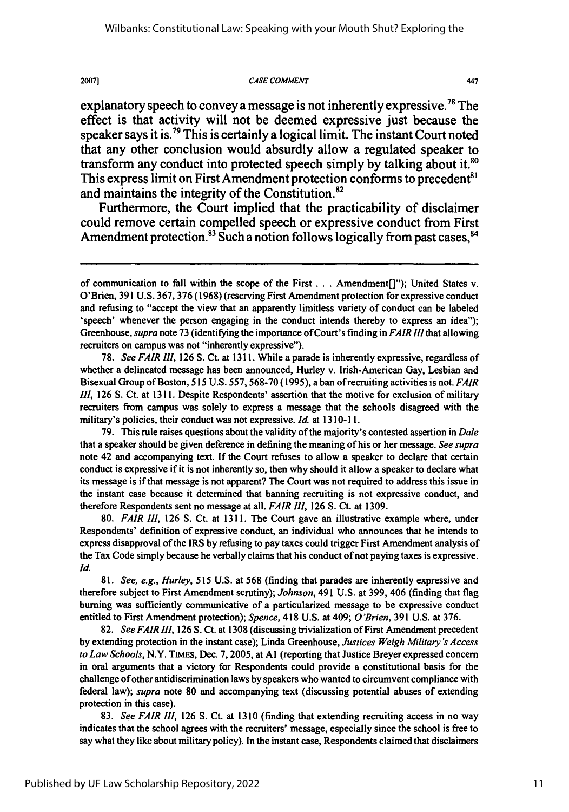2007]

#### *CASE COMMENT*

447

explanatory speech to convey a message is not inherently expressive.<sup>78</sup> The effect is that activity will not be deemed expressive just because the speaker says it **is.<sup>79</sup>**This is certainly a logical limit. The instant Court noted that any other conclusion would absurdly allow a regulated speaker to transform any conduct into protected speech simply **by** talking about it.80 This express limit on First Amendment protection conforms to precedent<sup>8</sup> and maintains the integrity of the Constitution.<sup>82</sup>

Furthermore, the Court implied that the practicability of disclaimer could remove certain compelled speech or expressive conduct from First Amendment protection.<sup>83</sup> Such a notion follows logically from past cases.<sup>84</sup>

78. *See FAIR III,* 126 **S.** Ct. at 1311. While a parade is inherently expressive, regardless of whether a delineated message has been announced, Hurley v. Irish-American Gay, Lesbian and Bisexual Group of Boston, 515 U.S. 557, 568-70 (1995), a ban of recruiting activities is not. *FAIR III*, 126 S. Ct. at 1311. Despite Respondents' assertion that the motive for exclusion of military recruiters from campus was solely to express a message that the schools disagreed with the military's policies, their conduct was not expressive. *Id.* at 1310-11.

79. This rule raises questions about the validity of the majority's contested assertion in *Dale* that a speaker should be given deference in defining the meaning of his or her message. *See supra* note 42 and accompanying text. If the Court refuses to allow a speaker to declare that certain conduct is expressive if it is not inherently so, then why should it allow a speaker to declare what its message is if that message is not apparent? The Court was not required to address this issue in the instant case because it determined that banning recruiting is not expressive conduct, and therefore Respondents sent no message at all. *FAIR III,* 126 **S.** Ct. at 1309.

80. *FAIR III,* 126 **S.** Ct. at 1311. The Court gave an illustrative example where, under Respondents' definition of expressive conduct, an individual who announces that he intends to express disapproval of the IRS by refusing to pay taxes could trigger First Amendment analysis of the Tax Code simply because he verbally claims that his conduct of not paying taxes is expressive. Id.

81. *See, e.g., Hurley,* 515 U.S. at 568 (finding that parades are inherently expressive and therefore subject to First Amendment scrutiny); Johnson, 491 U.S. at 399, 406 (finding that flag burning was sufficiently communicative of a particularized message to be expressive conduct entitled to First Amendment protection); Spence, 418 **U.S.** at 409; *O'Brien,* **391 U.S.** at **376.**

**82.** *See FAIR III,* **126 S.** Ct. at **1308** (discussing trivialization of First Amendment precedent **by** extending protection in the instant case); Linda Greenhouse, *Justices Weigh Military's Access to Law Schools,* N.Y. TIMES, Dec. **7, 2005,** at **Al** (reporting that Justice Breyer expressed concern in oral arguments that a victory for Respondents could provide a constitutional basis for the challenge of other antidiscrimination laws **by** speakers who wanted to circumvent compliance with federal law); *supra* note **80** and accompanying text (discussing potential abuses of extending protection in this case).

**83.** *See FAIR 11,* **126 S.** Ct. at **1310** (finding that extending recruiting access in no way indicates that the school agrees with the recruiters' message, especially since the school is free to say what they like about military policy). In the instant case, Respondents claimed that disclaimers

of communication to fall within the scope of the First **. .** . Amendment[]"); United States v. O'Brien, 391 U.S. 367, 376 (1968) (reserving First Amendment protection for expressive conduct and refusing to "accept the view that an apparently limitless variety of conduct can be labeled 'speech' whenever the person engaging in the conduct intends thereby to express an idea"); Greenhouse, *supra* note 73 (identifying the importance of Court's finding in *FAIR llthat* allowing recruiters on campus was not "inherently expressive").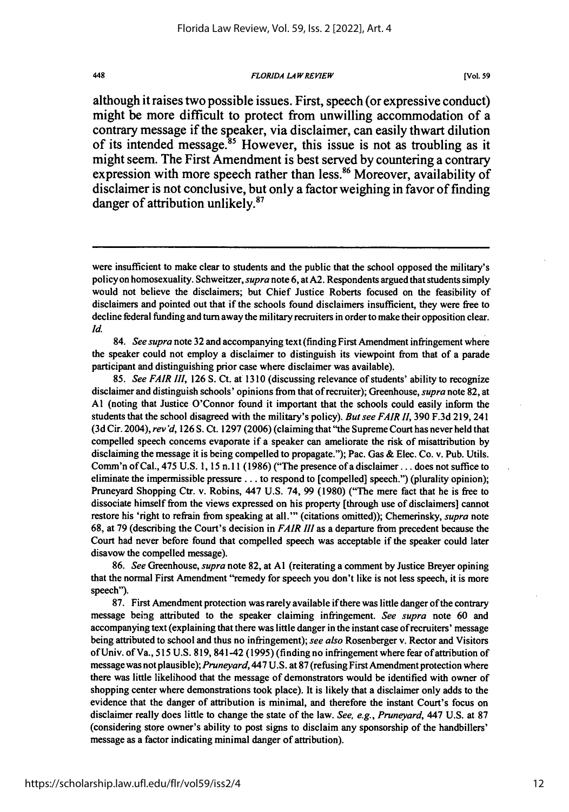#### *448 FLORIDA LAW REVIEW* **[Vol. 59**

although it raises two possible issues. First, speech (or expressive conduct) might be more difficult to protect from unwilling accommodation of a contrary message if the speaker, via disclaimer, can easily thwart dilution of its intended message.<sup>85</sup> However, this issue is not as troubling as it might seem. The First Amendment is best served **by** countering a contrary expression with more speech rather than less.<sup>86</sup> Moreover, availability of disclaimer is not conclusive, but only a factor weighing in favor of finding danger of attribution unlikely.87

84. *See supra* note 32 and accompanying text (finding First Amendment infringement where the speaker could not employ a disclaimer to distinguish its viewpoint from that of a parade participant and distinguishing prior case where disclaimer was available).

*85. See FAIR III,* 126 **S.** Ct. at 1310 (discussing relevance of students' ability to recognize disclaimer and distinguish schools' opinions from that of recruiter); Greenhouse, *supra* note 82, at **Al** (noting that Justice O'Connor found it important that the schools could easily inform the students that the school disagreed with the military's policy). *But see FAIR II,* 390 F.3d 219, 241 (3d Cir. 2004), *rev'd,* 126 S. Ct. 1297 (2006) (claiming that "the Supreme Court has never held that compelled speech concerns evaporate if a speaker can ameliorate the risk of misattribution by disclaiming the message it is being compelled to propagate."); Pac. Gas & Elec. Co. v. Pub. Utils. Comm'n of Cal., 475 U.S. 1, 15 n. 11 (1986) ("The presence of a disclaimer... does not suffice to eliminate the impermissible pressure **...** to respond to [compelled] speech.") (plurality opinion); Pruneyard Shopping Ctr. v. Robins, 447 U.S. 74, 99 (1980) ("The mere fact that he is free to dissociate himself from the views expressed on his property [through use of disclaimers] cannot restore his 'right to refrain from speaking at all."' (citations omitted)); Chemerinsky, *supra* note **68,** at **79** (describing the Court's decision in *FAIR III* as a departure from precedent because the Court had never before found that compelled speech was acceptable if the speaker could later disavow the compelled message).

**86.** *See* Greenhouse, *supra* note **82,** at **Al** (reiterating a comment **by** Justice Breyer opining that the normal First Amendment "remedy for speech you don't like is not less speech, it is more speech").

**87.** First Amendment protection was rarely available if there was little danger of the contrary message being attributed to the speaker claiming infringement. *See supra* note **60** and accompanying text (explaining that there was little danger in the instant case of recruiters' message being attributed to school and thus no infringement); *see also* Rosenberger v. Rector and Visitors of Univ. of Va., **515 U.S. 819,** 841-42 **(1995)** (finding no infringement where fear of attribution of message was not plausible); *Pruneyard,* 447 **U.S.** at **87** (refusing First Amendment protection where there was little likelihood that the message of demonstrators would be identified with owner of shopping center where demonstrations took place). It is likely that a disclaimer only adds to the evidence that the danger of attribution is minimal, and therefore the instant Court's focus on disclaimer really does little to change the state of the law. *See, e.g., Pruneyard,* 447 **U.S.** at **87** (considering store owner's ability to post signs to disclaim any sponsorship of the handbillers' message as a factor indicating minimal danger of attribution).

were insufficient to make clear to students and the public that the school opposed the military's policy on homosexuality. Schweitzer, *supra* note 6, at A2. Respondents argued that students simply would not believe the disclaimers; but Chief Justice Roberts focused on the feasibility of disclaimers and pointed out that if the schools found disclaimers insufficient, they were free to decline federal funding and turn away the military recruiters in order to make their opposition clear. *Id.*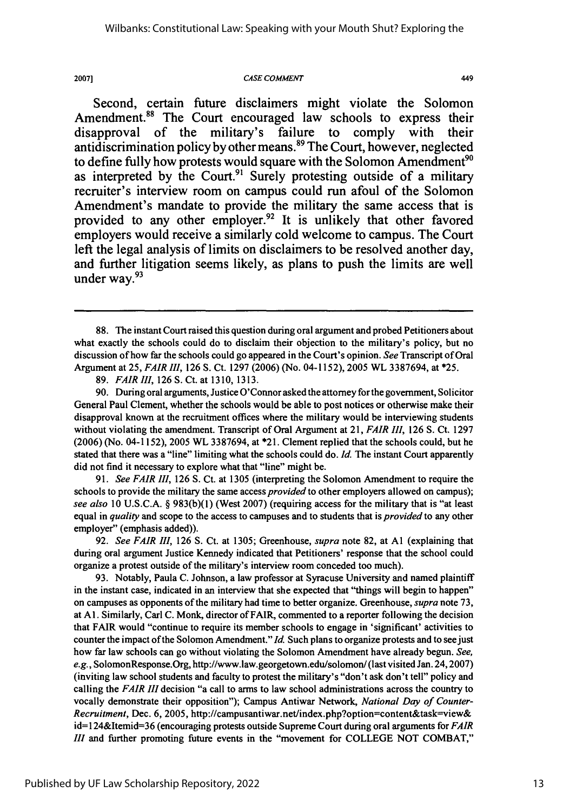#### **CASE COMMENT**

449

Second, certain future disclaimers might violate the Solomon Amendment.<sup>88</sup> The Court encouraged law schools to express their disapproval of the military's failure to comply with their antidiscrimination policy by other means.<sup>89</sup> The Court, however, neglected to define fully how protests would square with the Solomon Amendment<sup>9</sup> as interpreted by the Court.<sup>91</sup> Surely protesting outside of a military recruiter's interview room on campus could run afoul of the Solomon Amendment's mandate to provide the military the same access that is provided to any other employer.<sup>92</sup> It is unlikely that other favored employers would receive a similarly cold welcome to campus. The Court left the legal analysis of limits on disclaimers to be resolved another day, and further litigation seems likely, as plans to push the limits are well under way.<sup>93</sup>

91. *See FAIR 11I,* 126 **S.** Ct. at 1305 (interpreting the Solomon Amendment to require the schools to provide the military the same access *provided* to other employers allowed on campus); *see also* 10 U.S.C.A. § 983(b)(1) (West 2007) (requiring access for the military that is "at least equal in *quality* and scope to the access to campuses and to students that is *provided* to any other employer" (emphasis added)).

92. *See FAIR III,* 126 **S.** Ct. at 1305; Greenhouse, *supra* note 82, at **Al** (explaining that during oral argument Justice Kennedy indicated that Petitioners' response that the school could organize a protest outside of the military's interview room conceded too much).

93. Notably, Paula C. Johnson, a law professor at Syracuse University and named plaintiff in the instant case, indicated in an interview that she expected that "things will begin to happen" on campuses as opponents of the military had time to better organize. Greenhouse, *supra* note 73, at **Al.** Similarly, Carl C. Monk, director of FAIR, commented to a reporter following the decision that FAIR would "continue to require its member schools to engage in 'significant' activities to counter the impact of the Solomon Amendment." *Id.* Such plans to organize protests and to see just how far law schools can go without violating the Solomon Amendment have already begun. *See, e.g.,* SolomonResponse.Org, http://www.law.georgetown.edu/solomon/ (last visited Jan. 24, 2007) (inviting law school students and faculty to protest the military's "don't ask don't tell" policy and calling the *FAIR III* decision "a call to arms to law school administrations across the country to vocally demonstrate their opposition"); Campus Antiwar Network, *National Day of Counter-Recruitment,* Dec. 6, 2005, http://campusantiwar.net/index.php?option=content&task=view& id=l 24&Itemid=36 (encouraging protests outside Supreme Court during oral arguments for *FAIR III* and further promoting future events in the "movement for COLLEGE NOT COMBAT,"

<sup>88.</sup> The instant Court raised this question during oral argument and probed Petitioners about what exactly the schools could do to disclaim their objection to the military's policy, but no discussion of how far the schools could go appeared in the Court's opinion. *See* Transcript of Oral Argument at 25, *FAIR III,* 126 S. Ct. 1297 (2006) (No. 04-1152), 2005 WL 3387694, at \*25.

<sup>89.</sup> FAIR 11, 126 S. Ct. at 1310, 1313.

<sup>90.</sup> During oral arguments, Justice O'Connor asked the attorney for the government, Solicitor General Paul Clement, whether the schools would be able to post notices or otherwise make their disapproval known at the recruitment offices where the military would be interviewing students without violating the amendment. Transcript of Oral Argument at 21, *FAIR III,* 126 **S.** Ct. 1297 (2006) (No. 04-1152), 2005 WL 3387694, at \*21. Clement replied that the schools could, but he stated that there was a "line" limiting what the schools could do. *Id.* The instant Court apparently did not find it necessary to explore what that "line" might be.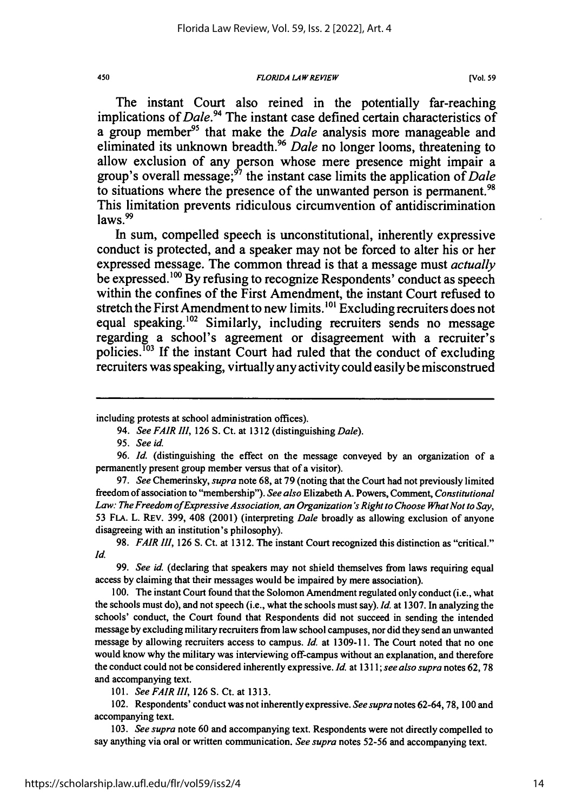#### *FLORIDA LAWREVIEW*

The instant Court also reined in the potentially far-reaching implications of *Dale.94* The instant case defined certain characteristics of a group member<sup>95</sup> that make the *Dale* analysis more manageable and eliminated its unknown breadth.<sup>96</sup>*Dale* no longer looms, threatening to allow exclusion of any person whose mere presence might impair a group's overall message;<sup> $\hat{p}$ </sup> the instant case limits the application of *Dale* to situations where the presence of the unwanted person is permanent.<sup>98</sup> This limitation prevents ridiculous circumvention of antidiscrimination **laws. <sup>99</sup>**

In sum, compelled speech is unconstitutional, inherently expressive conduct is protected, and a speaker may not be forced to alter his or her expressed message. The common thread is that a message must *actually* be expressed.<sup>100</sup> By refusing to recognize Respondents' conduct as speech within the confines of the First Amendment, the instant Court refused to stretch the First Amendment to new limits.<sup>101</sup> Excluding recruiters does not equal speaking.102 Similarly, including recruiters sends no message regarding a school's agreement or disagreement with a recruiter's policies.<sup>103</sup> If the instant Court had ruled that the conduct of excluding recruiters was speaking, virtually any activity could easily be misconstrued

including protests at school administration offices).

94. *See FAIR II,* 126 S. Ct. at 1312 (distinguishing *Dale).*

95. *See id.*

96. *Id.* (distinguishing the effect on the message conveyed by an organization of a permanently present group member versus that of a visitor).

97. *See* Chemerinsky, *supra* note 68, at 79 (noting that the Court had not previously limited freedom of association to "membership"). *See also* Elizabeth A. Powers, Comment, *Constitutional Law: The Freedom of Expressive Association, an Organization's Right to Choose What Not to Say,* 53 **FLA.** L. REV. 399, 408 (2001) (interpreting *Dale* broadly as allowing exclusion of anyone disagreeing with an institution's philosophy).

98. *FAIR III,* 126 S. Ct. at 1312. The instant Court recognized this distinction as "critical." *Id.*

99. *See id.* (declaring that speakers may not shield themselves from laws requiring equal access by claiming that their messages would be impaired by mere association).

100. The instant Court found that the Solomon Amendment regulated only conduct (i.e., what the schools must do), and not speech (i.e., what the schools must say). *Id.* at 1307. In analyzing the schools' conduct, the Court found that Respondents did not succeed in sending the intended message by excluding military recruiters from law school campuses, nor did they send an unwanted message by allowing recruiters access to campus. *Id.* at 1309-11. The Court noted that no one would know why the military was interviewing off-campus without an explanation, and therefore the conduct could not be considered inherently expressive. *Id.* at 1311; *see also supra* notes 62, 78 and accompanying text.

101. *See FAIR II1,* 126 S. Ct. at 1313.

102. Respondents' conduct was not inherently expressive. *See supra* notes 62-64, 78, 100 and accompanying text.

103. *See supra* note 60 and accompanying text. Respondents were not directly compelled to say anything via oral or written communication. *See supra* notes 52-56 and accompanying text.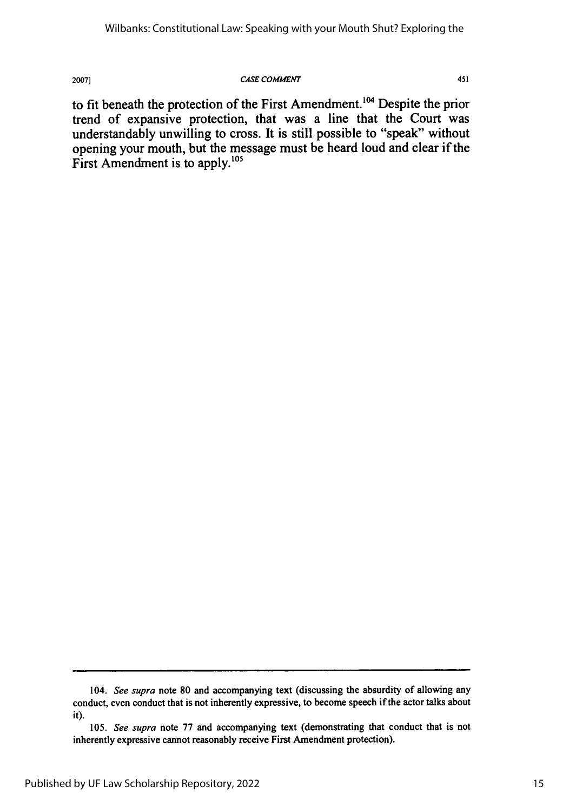2007]

#### **CASE COMMENT**

451

to fit beneath the protection of the First Amendment.<sup>104</sup> Despite the prior trend of expansive protection, that was a line that the Court was understandably unwilling to cross. It is still possible to "speak" without opening your mouth, but the message must be heard loud and clear if the First Amendment is to apply.<sup>105</sup>

<sup>104.</sup> *See supra* note **80** and accompanying text (discussing the absurdity of allowing any conduct, even conduct that is not inherently expressive, to become speech if the actor talks about it).

**<sup>105.</sup>** *See supra* note **77** and accompanying text (demonstrating that conduct that is not inherently expressive cannot reasonably receive First Amendment protection).